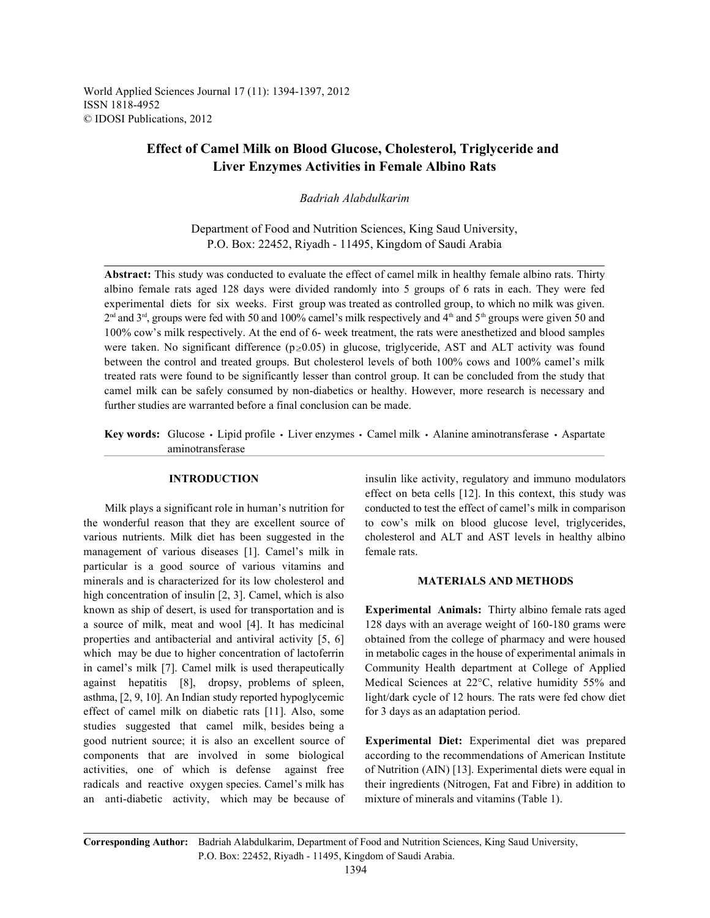World Applied Sciences Journal 17 (11): 1394-1397, 2012 ISSN 1818-4952 © IDOSI Publications, 2012

# **Effect of Camel Milk on Blood Glucose, Cholesterol, Triglyceride and Liver Enzymes Activities in Female Albino Rats**

## *Badriah Alabdulkarim*

Department of Food and Nutrition Sciences, King Saud University, P.O. Box: 22452, Riyadh - 11495, Kingdom of Saudi Arabia

**Abstract:** This study was conducted to evaluate the effect of camel milk in healthy female albino rats. Thirty albino female rats aged 128 days were divided randomly into 5 groups of 6 rats in each. They were fed experimental diets for six weeks. First group was treated as controlled group, to which no milk was given.  $2<sup>nd</sup>$  and  $3<sup>rd</sup>$ , groups were fed with 50 and 100% camel's milk respectively and  $4<sup>th</sup>$  and  $5<sup>th</sup>$  groups were given 50 and 100% cow's milk respectively. At the end of 6- week treatment, the rats were anesthetized and blood samples were taken. No significant difference ( $p \ge 0.05$ ) in glucose, triglyceride, AST and ALT activity was found between the control and treated groups. But cholesterol levels of both 100% cows and 100% camel's milk treated rats were found to be significantly lesser than control group. It can be concluded from the study that camel milk can be safely consumed by non-diabetics or healthy. However, more research is necessary and further studies are warranted before a final conclusion can be made.

Key words: Glucose · Lipid profile · Liver enzymes · Camel milk · Alanine aminotransferase · Aspartate aminotransferase

the wonderful reason that they are excellent source of to cow's milk on blood glucose level, triglycerides, various nutrients. Milk diet has been suggested in the cholesterol and ALT and AST levels in healthy albino management of various diseases [1]. Camel's milk in female rats. particular is a good source of various vitamins and minerals and is characterized for its low cholesterol and **MATERIALS AND METHODS** high concentration of insulin [2, 3]. Camel, which is also known as ship of desert, is used for transportation and is **Experimental Animals:** Thirty albino female rats aged a source of milk, meat and wool [4]. It has medicinal 128 days with an average weight of 160-180 grams were properties and antibacterial and antiviral activity [5, 6] obtained from the college of pharmacy and were housed which may be due to higher concentration of lactoferrin in metabolic cages in the house of experimental animals in in camel's milk [7]. Camel milk is used therapeutically Community Health department at College of Applied against hepatitis [8], dropsy, problems of spleen, Medical Sciences at 22°C, relative humidity 55% and asthma, [2, 9, 10]. An Indian study reported hypoglycemic light/dark cycle of 12 hours. The rats were fed chow diet effect of camel milk on diabetic rats [11]. Also, some for 3 days as an adaptation period. studies suggested that camel milk, besides being a good nutrient source; it is also an excellent source of **Experimental Diet:** Experimental diet was prepared components that are involved in some biological according to the recommendations of American Institute activities, one of which is defense against free of Nutrition (AIN) [13]. Experimental diets were equal in radicals and reactive oxygen species. Camel's milk has their ingredients (Nitrogen, Fat and Fibre) in addition to an anti-diabetic activity, which may be because of mixture of minerals and vitamins (Table 1).

**INTRODUCTION** insulin like activity, regulatory and immuno modulators Milk plays a significant role in human's nutrition for conducted to test the effect of camel's milk in comparison effect on beta cells [12]. In this context, this study was

**Corresponding Author:** Badriah Alabdulkarim, Department of Food and Nutrition Sciences, King Saud University, P.O. Box: 22452, Riyadh - 11495, Kingdom of Saudi Arabia.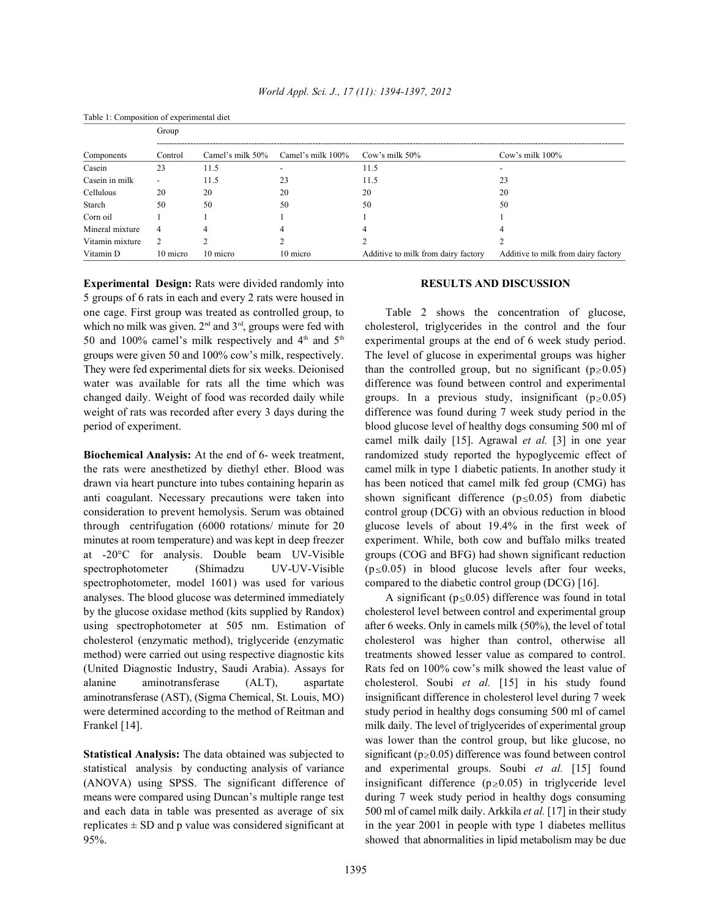| Table 1: Composition of experimental diet |                          |                  |                   |                                     |                                     |  |  |
|-------------------------------------------|--------------------------|------------------|-------------------|-------------------------------------|-------------------------------------|--|--|
|                                           | Group                    |                  |                   |                                     |                                     |  |  |
| Components                                | Control                  | Camel's milk 50% | Camel's milk 100% | Cow's milk 50%                      | Cow's milk 100%                     |  |  |
| Casein                                    | 23                       | 11.5             |                   | 11.5                                |                                     |  |  |
| Casein in milk                            | $\overline{\phantom{a}}$ | 11.5             | 23                | 11.5                                | 23                                  |  |  |
| Cellulous                                 | 20                       | 20               | 20                | 20                                  | 20                                  |  |  |
| Starch                                    | 50                       | 50               | 50                | 50                                  | 50                                  |  |  |
| Corn oil                                  |                          |                  |                   |                                     |                                     |  |  |
| Mineral mixture                           | $\overline{4}$           | 4                | 4                 | 4                                   | 4                                   |  |  |
| Vitamin mixture                           | 2                        |                  |                   |                                     |                                     |  |  |
| Vitamin D                                 | 10 micro                 | 10 micro         | 10 micro          | Additive to milk from dairy factory | Additive to milk from dairy factory |  |  |

**Experimental Design:** Rats were divided randomly into **RESULTS AND DISCUSSION** 5 groups of 6 rats in each and every 2 rats were housed in one cage. First group was treated as controlled group, to Table 2 shows the concentration of glucose, which no milk was given.  $2<sup>nd</sup>$  and  $3<sup>rd</sup>$ , groups were fed with cholesterol, triglycerides in the control and the four 50 and 100% camel's milk respectively and  $4<sup>th</sup>$  and  $5<sup>th</sup>$  experimental groups at the end of 6 week study period. groups were given 50 and 100% cow's milk, respectively. The level of glucose in experimental groups was higher They were fed experimental diets for six weeks. Deionised than the controlled group, but no significant ( $p \ge 0.05$ ) water was available for rats all the time which was difference was found between control and experimental changed daily. Weight of food was recorded daily while groups. In a previous study, insignificant  $(p \ge 0.05)$ weight of rats was recorded after every 3 days during the difference was found during 7 week study period in the

the rats were anesthetized by diethyl ether. Blood was camel milk in type 1 diabetic patients. In another study it drawn via heart puncture into tubes containing heparin as has been noticed that camel milk fed group (CMG) has anti coagulant. Necessary precautions were taken into shown significant difference  $(p \le 0.05)$  from diabetic consideration to prevent hemolysis. Serum was obtained control group (DCG) with an obvious reduction in blood through centrifugation (6000 rotations/ minute for 20 glucose levels of about 19.4% in the first week of minutes at room temperature) and was kept in deep freezer experiment. While, both cow and buffalo milks treated at -20°C for analysis. Double beam UV-Visible groups (COG and BFG) had shown significant reduction spectrophotometer (Shimadzu UV-UV-Visible  $(p \le 0.05)$  in blood glucose levels after four weeks, spectrophotometer, model 1601) was used for various compared to the diabetic control group (DCG) [16]. analyses. The blood glucose was determined immediately  $\overrightarrow{A}$  significant ( $p \le 0.05$ ) difference was found in total by the glucose oxidase method (kits supplied by Randox) cholesterol level between control and experimental group using spectrophotometer at 505 nm. Estimation of after 6 weeks. Only in camels milk (50%), the level of total cholesterol (enzymatic method), triglyceride (enzymatic cholesterol was higher than control, otherwise all method) were carried out using respective diagnostic kits treatments showed lesser value as compared to control. (United Diagnostic Industry, Saudi Arabia). Assays for Rats fed on 100% cow's milk showed the least value of alanine aminotransferase (ALT), aspartate cholesterol. Soubi *et al.* [15] in his study found aminotransferase (AST), (Sigma Chemical, St. Louis, MO) insignificant difference in cholesterol level during 7 week were determined according to the method of Reitman and study period in healthy dogs consuming 500 ml of camel Frankel [14]. Frankel [14].

statistical analysis by conducting analysis of variance and experimental groups. Soubi *et al.* [15] found (ANOVA) using SPSS. The significant difference of insignificant difference ( $p \ge 0.05$ ) in triglyceride level means were compared using Duncan's multiple range test during 7 week study period in healthy dogs consuming and each data in table was presented as average of six 500 ml of camel milk daily. Arkkila *et al.* [17] in their study replicates  $\pm$  SD and p value was considered significant at in the year 2001 in people with type 1 diabetes mellitus

period of experiment. blood glucose level of healthy dogs consuming 500 ml of **Biochemical Analysis:** At the end of 6- week treatment, randomized study reported the hypoglycemic effect of camel milk daily [15]. Agrawal *et al.* [3] in one year

**Statistical Analysis:** The data obtained was subjected to significant ( $p \ge 0.05$ ) difference was found between control 95%. showed that abnormalities in lipid metabolism may be due was lower than the control group, but like glucose, no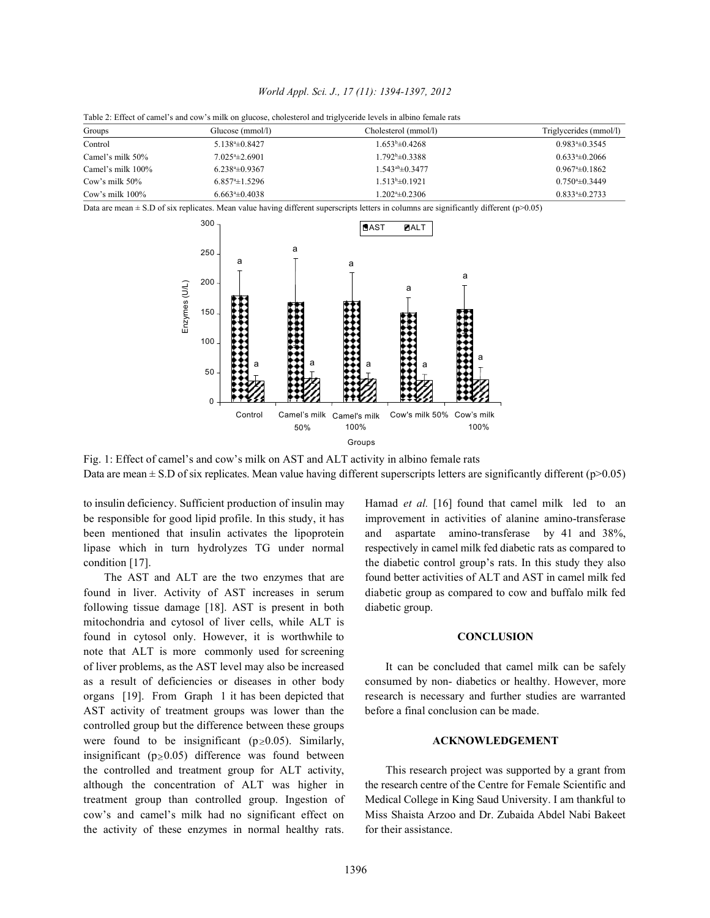| World Appl. Sci. J., 17 (11): 1394-1397, 2012 |  |  |  |  |  |
|-----------------------------------------------|--|--|--|--|--|
|-----------------------------------------------|--|--|--|--|--|

| Table 2: Effect of camel's and cow's milk on glucose, cholesterol and triglyceride levels in albino female rats |  |  |
|-----------------------------------------------------------------------------------------------------------------|--|--|
|                                                                                                                 |  |  |

| Groups             | Glucose (mmol/l)    | Cholesterol (mmol/l)          | Triglycerides (mmol/l) |
|--------------------|---------------------|-------------------------------|------------------------|
| Control            | $5.1384 \pm 0.8427$ | $1.653^b \pm 0.4268$          | $0.9834 \pm 0.3545$    |
| Camel's milk 50%   | $7.0254 \pm 2.6901$ | 1.792 <sup>b</sup> ±0.3388    | $0.6334 \pm 0.2066$    |
| Camel's milk 100%  | $6.2384 \pm 0.9367$ | $1.543^{\text{ab}}\pm 0.3477$ | $0.9674 \pm 0.1862$    |
| Cow's milk 50%     | $6.8574 \pm 1.5296$ | $1.513\pm 0.1921$             | $0.7504 \pm 0.3449$    |
| Cow's milk $100\%$ | $6.663* \pm 0.4038$ | $1.2024 \pm 0.2306$           | $0.8334 \pm 0.2733$    |

Data are mean  $\pm$  S.D of six replicates. Mean value having different superscripts letters in columns are significantly different ( $p$  $>$ 0.05)



Fig. 1: Effect of camel's and cow's milk on AST and ALT activity in albino female rats Data are mean  $\pm$  S.D of six replicates. Mean value having different superscripts letters are significantly different ( $p$  $>$ 0.05)

found in liver. Activity of AST increases in serum diabetic group as compared to cow and buffalo milk fed following tissue damage [18]. AST is present in both diabetic group. mitochondria and cytosol of liver cells, while ALT is found in cytosol only. However, it is worthwhile to **CONCLUSION** note that ALT is more commonly used for screening of liver problems, as the AST level may also be increased It can be concluded that camel milk can be safely as a result of deficiencies or diseases in other body consumed by non- diabetics or healthy. However, more organs [19]. From Graph 1 it has been depicted that research is necessary and further studies are warranted AST activity of treatment groups was lower than the before a final conclusion can be made. controlled group but the difference between these groups were found to be insignificant  $(p \ge 0.05)$ . Similarly, **ACKNOWLEDGEMENT** insignificant ( $p \ge 0.05$ ) difference was found between the controlled and treatment group for ALT activity, This research project was supported by a grant from although the concentration of ALT was higher in the research centre of the Centre for Female Scientific and treatment group than controlled group. Ingestion of Medical College in King Saud University. I am thankful to cow's and camel's milk had no significant effect on Miss Shaista Arzoo and Dr. Zubaida Abdel Nabi Bakeet the activity of these enzymes in normal healthy rats. for their assistance.

to insulin deficiency. Sufficient production of insulin may Hamad *et al.* [16] found that camel milk led to an be responsible for good lipid profile. In this study, it has improvement in activities of alanine amino-transferase been mentioned that insulin activates the lipoprotein and aspartate amino-transferase by 41 and 38%, lipase which in turn hydrolyzes TG under normal respectively in camel milk fed diabetic rats as compared to condition [17]. the diabetic control group's rats. In this study they also The AST and ALT are the two enzymes that are found better activities of ALT and AST in camel milk fed